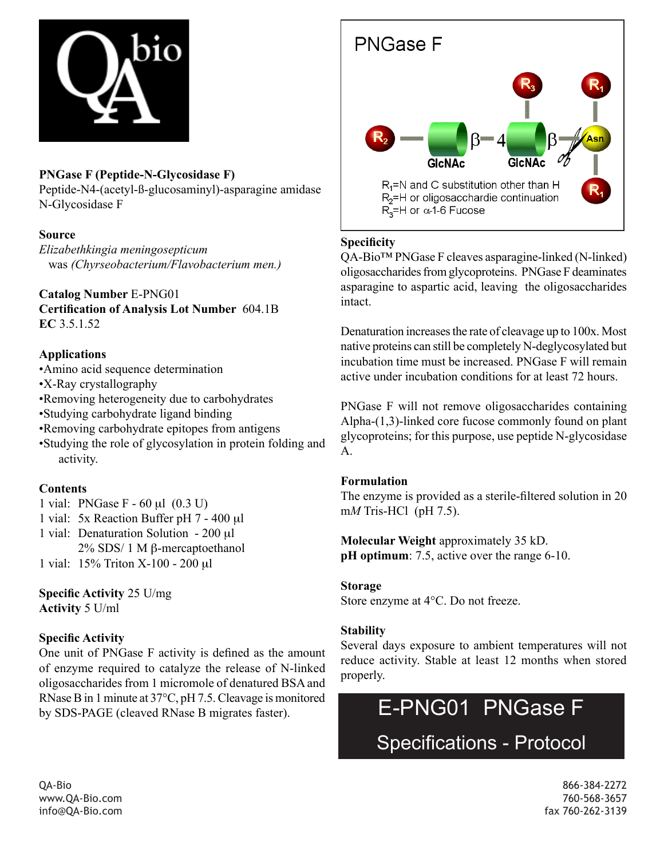

# **PNGase F (Peptide-N-Glycosidase F)**

Peptide-N4-(acetyl-ß-glucosaminyl)-asparagine amidase N-Glycosidase F

### **Source**

*Elizabethkingia meningosepticum* was *(Chyrseobacterium/Flavobacterium men.)*

# **Catalog Number** E-PNG01

**Certification of Analysis Lot Number** 604.1B **EC** 3.5.1.52

## **Applications**

•Amino acid sequence determination •X-Ray crystallography •Removing heterogeneity due to carbohydrates •Studying carbohydrate ligand binding •Removing carbohydrate epitopes from antigens •Studying the role of glycosylation in protein folding and activity.

# **Contents**

- 1 vial: PNGase F 60 µl (0.3 U)
- 1 vial: 5x Reaction Buffer pH 7 400 µl
- 1 vial: Denaturation Solution 200 µl 2% SDS/ 1 M β-mercaptoethanol
- 1 vial: 15% Triton X-100 200 µl

**Specific Activity** 25 U/mg **Activity** 5 U/ml

# **Specific Activity**

One unit of PNGase F activity is defined as the amount of enzyme required to catalyze the release of N-linked oligosaccharides from 1 micromole of denatured BSA and RNase B in 1 minute at 37°C, pH 7.5. Cleavage is monitored by SDS-PAGE (cleaved RNase B migrates faster).



# **Specificity**

QA-Bio™ PNGase F cleaves asparagine-linked (N-linked) oligosaccharides from glycoproteins. PNGase F deaminates asparagine to aspartic acid, leaving the oligosaccharides intact.

Denaturation increases the rate of cleavage up to 100x. Most native proteins can still be completely N-deglycosylated but incubation time must be increased. PNGase F will remain active under incubation conditions for at least 72 hours.

PNGase F will not remove oligosaccharides containing Alpha-(1,3)-linked core fucose commonly found on plant glycoproteins; for this purpose, use peptide N-glycosidase A.

### **Formulation**

The enzyme is provided as a sterile-filtered solution in 20 m*M* Tris-HCl (pH 7.5).

**Molecular Weight** approximately 35 kD. **pH** optimum: 7.5, active over the range 6-10.

### **Storage**

Store enzyme at 4°C. Do not freeze.

### **Stability**

Several days exposure to ambient temperatures will not reduce activity. Stable at least 12 months when stored properly.



QA-Bio 866-384-2272 www.QA-Bio.com 760-568-3657 info@QA-Bio.com fax 760-262-3139